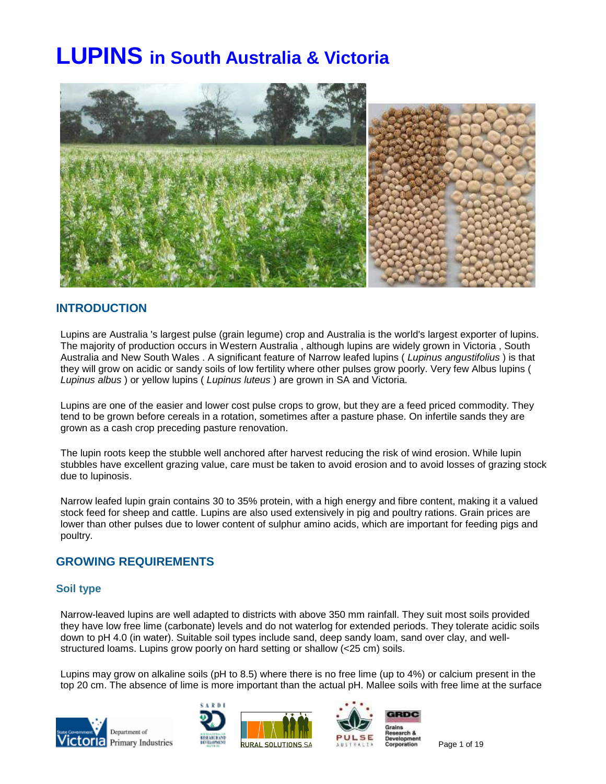# **LUPINS in South Australia & Victoria**



# **INTRODUCTION**

Lupins are Australia 's largest pulse (grain legume) crop and Australia is the world's largest exporter of lupins. The majority of production occurs in Western Australia , although lupins are widely grown in Victoria , South Australia and New South Wales . A significant feature of Narrow leafed lupins ( *Lupinus angustifolius* ) is that they will grow on acidic or sandy soils of low fertility where other pulses grow poorly. Very few Albus lupins ( *Lupinus albus* ) or yellow lupins ( *Lupinus luteus* ) are grown in SA and Victoria.

Lupins are one of the easier and lower cost pulse crops to grow, but they are a feed priced commodity. They tend to be grown before cereals in a rotation, sometimes after a pasture phase. On infertile sands they are grown as a cash crop preceding pasture renovation.

The lupin roots keep the stubble well anchored after harvest reducing the risk of wind erosion. While lupin stubbles have excellent grazing value, care must be taken to avoid erosion and to avoid losses of grazing stock due to lupinosis.

Narrow leafed lupin grain contains 30 to 35% protein, with a high energy and fibre content, making it a valued stock feed for sheep and cattle. Lupins are also used extensively in pig and poultry rations. Grain prices are lower than other pulses due to lower content of sulphur amino acids, which are important for feeding pigs and poultry.

# **GROWING REQUIREMENTS**

## **Soil type**

Narrow-leaved lupins are well adapted to districts with above 350 mm rainfall. They suit most soils provided they have low free lime (carbonate) levels and do not waterlog for extended periods. They tolerate acidic soils down to pH 4.0 (in water). Suitable soil types include sand, deep sandy loam, sand over clay, and wellstructured loams. Lupins grow poorly on hard setting or shallow (<25 cm) soils.

Lupins may grow on alkaline soils (pH to 8.5) where there is no free lime (up to 4%) or calcium present in the top 20 cm. The absence of lime is more important than the actual pH. Mallee soils with free lime at the surface









Page 1 of 19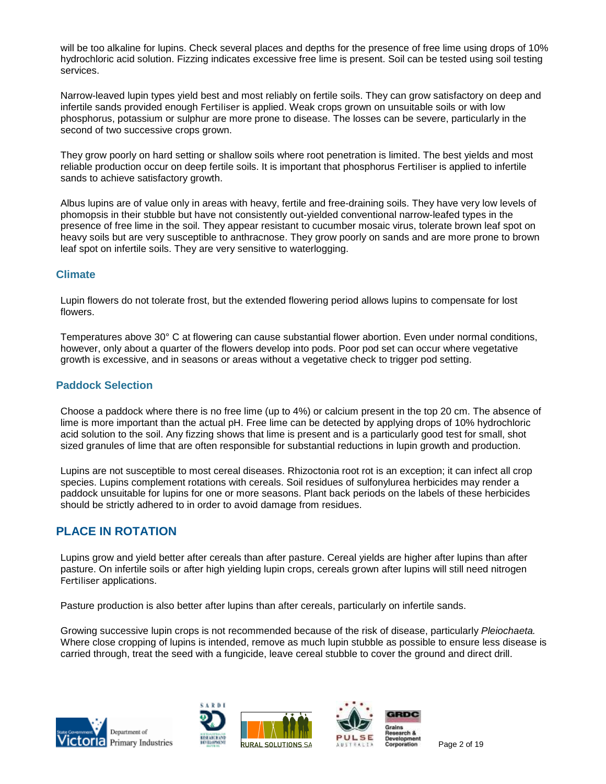will be too alkaline for lupins. Check several places and depths for the presence of free lime using drops of 10% hydrochloric acid solution. Fizzing indicates excessive free lime is present. Soil can be tested using soil testing services.

Narrow-leaved lupin types yield best and most reliably on fertile soils. They can grow satisfactory on deep and infertile sands provided enough Fertiliser is applied. Weak crops grown on unsuitable soils or with low phosphorus, potassium or sulphur are more prone to disease. The losses can be severe, particularly in the second of two successive crops grown.

They grow poorly on hard setting or shallow soils where root penetration is limited. The best yields and most reliable production occur on deep fertile soils. It is important that phosphorus Fertiliser is applied to infertile sands to achieve satisfactory growth.

Albus lupins are of value only in areas with heavy, fertile and free-draining soils. They have very low levels of phomopsis in their stubble but have not consistently out-yielded conventional narrow-leafed types in the presence of free lime in the soil. They appear resistant to cucumber mosaic virus, tolerate brown leaf spot on heavy soils but are very susceptible to anthracnose. They grow poorly on sands and are more prone to brown leaf spot on infertile soils. They are very sensitive to waterlogging.

## **Climate**

Lupin flowers do not tolerate frost, but the extended flowering period allows lupins to compensate for lost flowers.

Temperatures above 30° C at flowering can cause substantial flower abortion. Even under normal conditions, however, only about a quarter of the flowers develop into pods. Poor pod set can occur where vegetative growth is excessive, and in seasons or areas without a vegetative check to trigger pod setting.

## **Paddock Selection**

Choose a paddock where there is no free lime (up to 4%) or calcium present in the top 20 cm. The absence of lime is more important than the actual pH. Free lime can be detected by applying drops of 10% hydrochloric acid solution to the soil. Any fizzing shows that lime is present and is a particularly good test for small, shot sized granules of lime that are often responsible for substantial reductions in lupin growth and production.

Lupins are not susceptible to most cereal diseases. Rhizoctonia root rot is an exception; it can infect all crop species. Lupins complement rotations with cereals. Soil residues of sulfonylurea herbicides may render a paddock unsuitable for lupins for one or more seasons. Plant back periods on the labels of these herbicides should be strictly adhered to in order to avoid damage from residues.

# **PLACE IN ROTATION**

Lupins grow and yield better after cereals than after pasture. Cereal yields are higher after lupins than after pasture. On infertile soils or after high yielding lupin crops, cereals grown after lupins will still need nitrogen Fertiliser applications.

Pasture production is also better after lupins than after cereals, particularly on infertile sands.

Growing successive lupin crops is not recommended because of the risk of disease, particularly *Pleiochaeta.* Where close cropping of lupins is intended, remove as much lupin stubble as possible to ensure less disease is carried through, treat the seed with a fungicide, leave cereal stubble to cover the ground and direct drill.







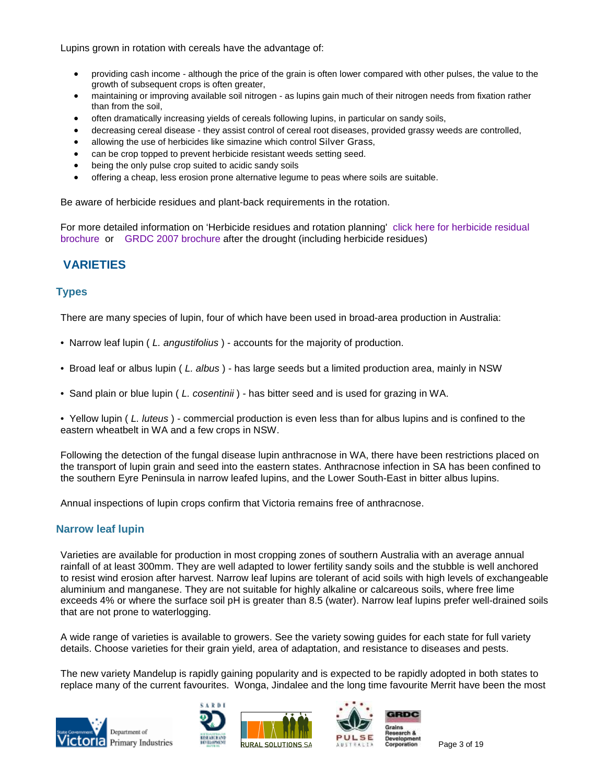Lupins grown in rotation with cereals have the advantage of:

- providing cash income although the price of the grain is often lower compared with other pulses, the value to the growth of subsequent crops is often greater,
- maintaining or improving available soil nitrogen as lupins gain much of their nitrogen needs from fixation rather than from the soil,
- often dramatically increasing yields of cereals following lupins, in particular on sandy soils,
- decreasing cereal disease they assist control of cereal root diseases, provided grassy weeds are controlled,
- allowing the use of herbicides like simazine which control Silver Grass,
- can be crop topped to prevent herbicide resistant weeds setting seed.
- being the only pulse crop suited to acidic sandy soils
- offering a cheap, less erosion prone alternative legume to peas where soils are suitable.

Be aware of herbicide residues and plant-back requirements in the rotation.

For more detailed information on 'Herbicide residues and rotation planning' [click here for herbicide residual](http://www.pulseaus.com.au/publications/crop_management/446/Residual herbicides and weed control.pdf) [brochure](http://www.pulseaus.com.au/publications/crop_management/446/Residual herbicides and weed control.pdf) or [GRDC 2007 brochure](http://www.grdc.com.au/growers/res_upd/south/agdrought07.pdf) after the drought (including herbicide residues)

# **VARIETIES**

# **Types**

There are many species of lupin, four of which have been used in broad-area production in Australia:

- Narrow leaf lupin ( *L. angustifolius* ) accounts for the majority of production.
- Broad leaf or albus lupin ( *L. albus* ) has large seeds but a limited production area, mainly in NSW
- Sand plain or blue lupin ( *L. cosentinii* ) has bitter seed and is used for grazing in WA.
- Yellow lupin ( *L. luteus* ) commercial production is even less than for albus lupins and is confined to the eastern wheatbelt in WA and a few crops in NSW.

Following the detection of the fungal disease lupin anthracnose in WA, there have been restrictions placed on the transport of lupin grain and seed into the eastern states. Anthracnose infection in SA has been confined to the southern Eyre Peninsula in narrow leafed lupins, and the Lower South-East in bitter albus lupins.

Annual inspections of lupin crops confirm that Victoria remains free of anthracnose.

## **Narrow leaf lupin**

Varieties are available for production in most cropping zones of southern Australia with an average annual rainfall of at least 300mm. They are well adapted to lower fertility sandy soils and the stubble is well anchored to resist wind erosion after harvest. Narrow leaf lupins are tolerant of acid soils with high levels of exchangeable aluminium and manganese. They are not suitable for highly alkaline or calcareous soils, where free lime exceeds 4% or where the surface soil pH is greater than 8.5 (water). Narrow leaf lupins prefer well-drained soils that are not prone to waterlogging.

A wide range of varieties is available to growers. See the variety sowing guides for each state for full variety details. Choose varieties for their grain yield, area of adaptation, and resistance to diseases and pests.

The new variety Mandelup is rapidly gaining popularity and is expected to be rapidly adopted in both states to replace many of the current favourites. Wonga, Jindalee and the long time favourite Merrit have been the most







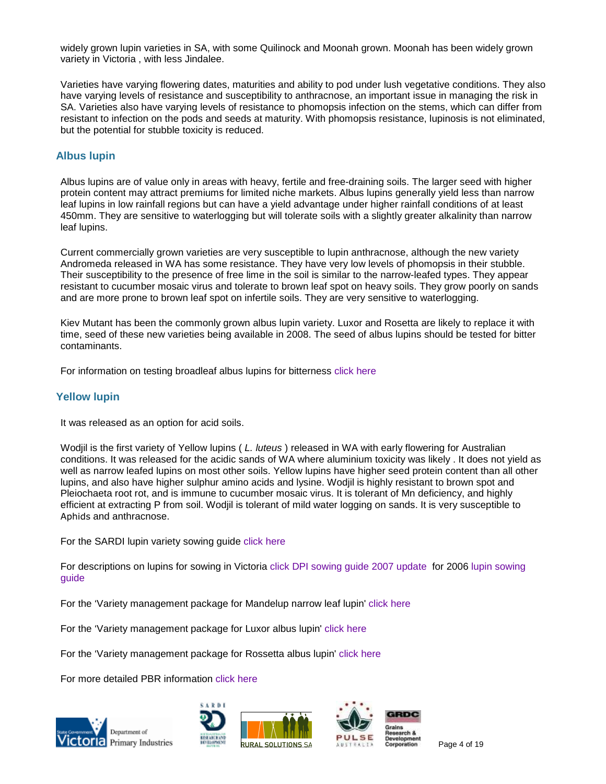widely grown lupin varieties in SA, with some Quilinock and Moonah grown. Moonah has been widely grown variety in Victoria , with less Jindalee.

Varieties have varying flowering dates, maturities and ability to pod under lush vegetative conditions. They also have varying levels of resistance and susceptibility to anthracnose, an important issue in managing the risk in SA. Varieties also have varying levels of resistance to phomopsis infection on the stems, which can differ from resistant to infection on the pods and seeds at maturity. With phomopsis resistance, lupinosis is not eliminated, but the potential for stubble toxicity is reduced.

# **Albus lupin**

Albus lupins are of value only in areas with heavy, fertile and free-draining soils. The larger seed with higher protein content may attract premiums for limited niche markets. Albus lupins generally yield less than narrow leaf lupins in low rainfall regions but can have a yield advantage under higher rainfall conditions of at least 450mm. They are sensitive to waterlogging but will tolerate soils with a slightly greater alkalinity than narrow leaf lupins.

Current commercially grown varieties are very susceptible to lupin anthracnose, although the new variety Andromeda released in WA has some resistance. They have very low levels of phomopsis in their stubble. Their susceptibility to the presence of free lime in the soil is similar to the narrow-leafed types. They appear resistant to cucumber mosaic virus and tolerate to brown leaf spot on heavy soils. They grow poorly on sands and are more prone to brown leaf spot on infertile soils. They are very sensitive to waterlogging.

Kiev Mutant has been the commonly grown albus lupin variety. Luxor and Rosetta are likely to replace it with time, seed of these new varieties being available in 2008. The seed of albus lupins should be tested for bitter contaminants.

For information on testing broadleaf albus lupins for bitterness [click here](http://www.pulseaus.com.au/crops/lupins/410/Southern PULSE TECH-NOTE lupin alkaloids (Aug 2006).pdf)

## **Yellow lupin**

It was released as an option for acid soils.

Wodjil is the first variety of Yellow lupins ( *L. luteus* ) released in WA with early flowering for Australian conditions. It was released for the acidic sands of WA where aluminium toxicity was likely . It does not yield as well as narrow leafed lupins on most other soils. Yellow lupins have higher seed protein content than all other lupins, and also have higher sulphur amino acids and lysine. Wodjil is highly resistant to brown spot and Pleiochaeta root rot, and is immune to cucumber mosaic virus. It is tolerant of Mn deficiency, and highly efficient at extracting P from soil. Wodjil is tolerant of mild water logging on sands. It is very susceptible to Aphids and anthracnose.

For the SARDI lupin variety sowing guide [click here](http://www.sardi.sa.gov.au/pdfserve/fieldcrops/research_info/sowing_guide/lupinsfs.pdf)

For descriptions on lupins for sowing in Victoria [click DPI sowing guide 2007 update](http://www.dpi.vic.gov.au/dpi/nrenfa.nsf/93a98744f6ec41bd4a256c8e00013aa9/0675dbb1a8c949ceca2572b20028c702/$FILE/VWCSUpdate07.pdf) for 2006 [lupin sowing](http://www.dpi.vic.gov.au/dpi/nrenfa.nsf/93a98744f6ec41bd4a256c8e00013aa9/0675dbb1a8c949ceca2572b20028c702/$FILE/Lupins06.pdf) [guide](http://www.dpi.vic.gov.au/dpi/nrenfa.nsf/93a98744f6ec41bd4a256c8e00013aa9/0675dbb1a8c949ceca2572b20028c702/$FILE/Lupins06.pdf)

For the 'Variety management package for Mandelup narrow leaf lupin' [click here](http://www.pulseaus.com.au/crops/lupins/407/Mandelup VMP & Brochure.pdf)

For the 'Variety management package for Luxor albus lupin' [click here](http://www.pulseaus.com.au/crops/lupins/358/Luxor Brochure & VMP.pdf)

For the 'Variety management package for Rossetta albus lupin' [click here](http://www.pulseaus.com.au/crops/lupins/356/Rosetta Brochure & VMP.pdf)

For more detailed PBR information [click here](http://www.sardi.sa.gov.au/pdfserve/fieldcrops/research_info/sowing_guide/breed.pdf)







Page 4 of 19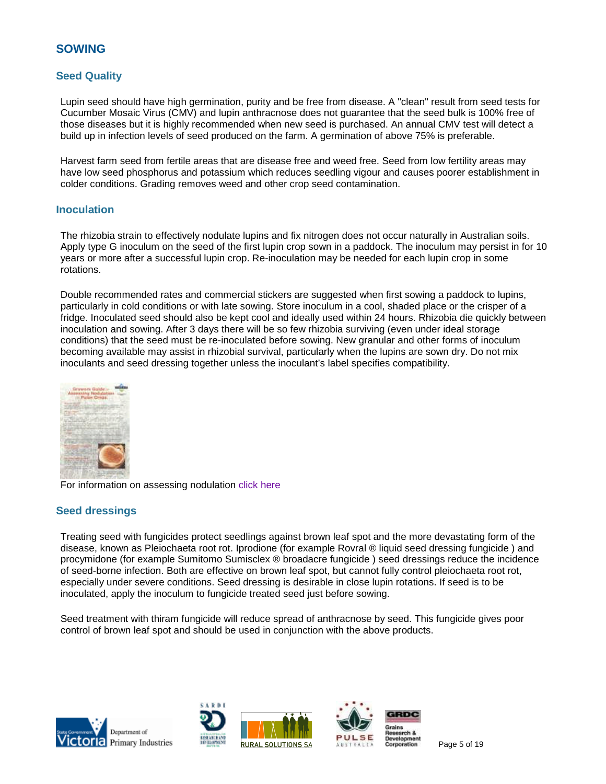# **SOWING**

# **Seed Quality**

Lupin seed should have high germination, purity and be free from disease. A "clean" result from seed tests for Cucumber Mosaic Virus (CMV) and lupin anthracnose does not guarantee that the seed bulk is 100% free of those diseases but it is highly recommended when new seed is purchased. An annual CMV test will detect a build up in infection levels of seed produced on the farm. A germination of above 75% is preferable.

Harvest farm seed from fertile areas that are disease free and weed free. Seed from low fertility areas may have low seed phosphorus and potassium which reduces seedling vigour and causes poorer establishment in colder conditions. Grading removes weed and other crop seed contamination.

#### **Inoculation**

The rhizobia strain to effectively nodulate lupins and fix nitrogen does not occur naturally in Australian soils. Apply type G inoculum on the seed of the first lupin crop sown in a paddock. The inoculum may persist in for 10 years or more after a successful lupin crop. Re-inoculation may be needed for each lupin crop in some rotations.

Double recommended rates and commercial stickers are suggested when first sowing a paddock to lupins, particularly in cold conditions or with late sowing. Store inoculum in a cool, shaded place or the crisper of a fridge. Inoculated seed should also be kept cool and ideally used within 24 hours. Rhizobia die quickly between inoculation and sowing. After 3 days there will be so few rhizobia surviving (even under ideal storage conditions) that the seed must be re-inoculated before sowing. New granular and other forms of inoculum becoming available may assist in rhizobial survival, particularly when the lupins are sown dry. Do not mix inoculants and seed dressing together unless the inoculant's label specifies compatibility.



For information on assessing nodulation [click here](http://topcrop.grdc.com.au/statesites/vic/pubs/pdfs/nodulation.pdf)

## **Seed dressings**

Treating seed with fungicides protect seedlings against brown leaf spot and the more devastating form of the disease, known as Pleiochaeta root rot. Iprodione (for example Rovral ® liquid seed dressing fungicide ) and procymidone (for example Sumitomo Sumisclex ® broadacre fungicide ) seed dressings reduce the incidence of seed-borne infection. Both are effective on brown leaf spot, but cannot fully control pleiochaeta root rot, especially under severe conditions. Seed dressing is desirable in close lupin rotations. If seed is to be inoculated, apply the inoculum to fungicide treated seed just before sowing.

Seed treatment with thiram fungicide will reduce spread of anthracnose by seed. This fungicide gives poor control of brown leaf spot and should be used in conjunction with the above products.







Page 5 of 19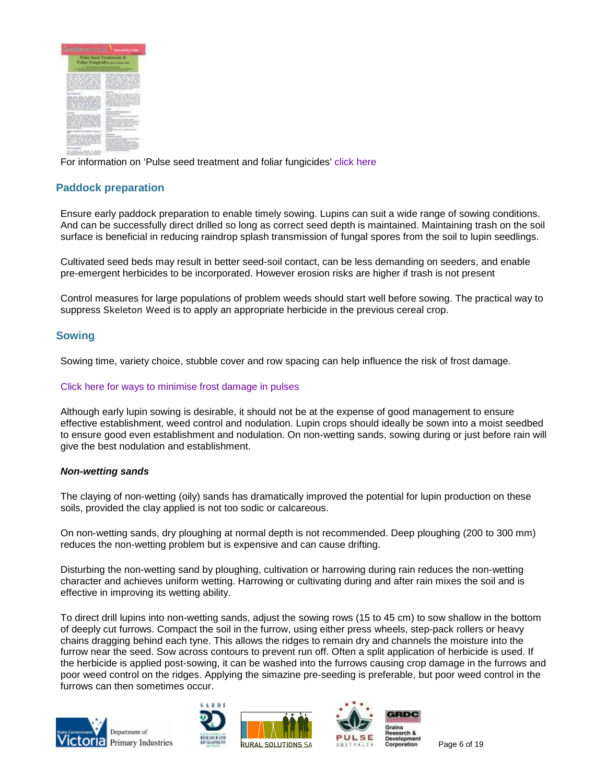

For information on 'Pulse seed treatment and foliar fungicides' [click here](http://www.pulseaus.com.au/crops/faba_beans/394/Pulse seed and foliar fungicide treatments May 2006.pdf)

# **Paddock preparation**

Ensure early paddock preparation to enable timely sowing. Lupins can suit a wide range of sowing conditions. And can be successfully direct drilled so long as correct seed depth is maintained. Maintaining trash on the soil surface is beneficial in reducing raindrop splash transmission of fungal spores from the soil to lupin seedlings.

Cultivated seed beds may result in better seed-soil contact, can be less demanding on seeders, and enable pre-emergent herbicides to be incorporated. However erosion risks are higher if trash is not present

Control measures for large populations of problem weeds should start well before sowing. The practical way to suppress Skeleton Weed is to apply an appropriate herbicide in the previous cereal crop.

# **Sowing**

Sowing time, variety choice, stubble cover and row spacing can help influence the risk of frost damage.

#### [Click here for ways to minimise frost damage in pulses](http://www.pulseaus.com.au/publications/crop_management/448/Managing frost in pulses and minimising the damage detailed 4 pager.pdf)

Although early lupin sowing is desirable, it should not be at the expense of good management to ensure effective establishment, weed control and nodulation. Lupin crops should ideally be sown into a moist seedbed to ensure good even establishment and nodulation. On non-wetting sands, sowing during or just before rain will give the best nodulation and establishment.

#### *Non-wetting sands*

The claying of non-wetting (oily) sands has dramatically improved the potential for lupin production on these soils, provided the clay applied is not too sodic or calcareous.

On non-wetting sands, dry ploughing at normal depth is not recommended. Deep ploughing (200 to 300 mm) reduces the non-wetting problem but is expensive and can cause drifting.

Disturbing the non-wetting sand by ploughing, cultivation or harrowing during rain reduces the non-wetting character and achieves uniform wetting. Harrowing or cultivating during and after rain mixes the soil and is effective in improving its wetting ability.

To direct drill lupins into non-wetting sands, adjust the sowing rows (15 to 45 cm) to sow shallow in the bottom of deeply cut furrows. Compact the soil in the furrow, using either press wheels, step-pack rollers or heavy chains dragging behind each tyne. This allows the ridges to remain dry and channels the moisture into the furrow near the seed. Sow across contours to prevent run off. Often a split application of herbicide is used. If the herbicide is applied post-sowing, it can be washed into the furrows causing crop damage in the furrows and poor weed control on the ridges. Applying the simazine pre-seeding is preferable, but poor weed control in the furrows can then sometimes occur.









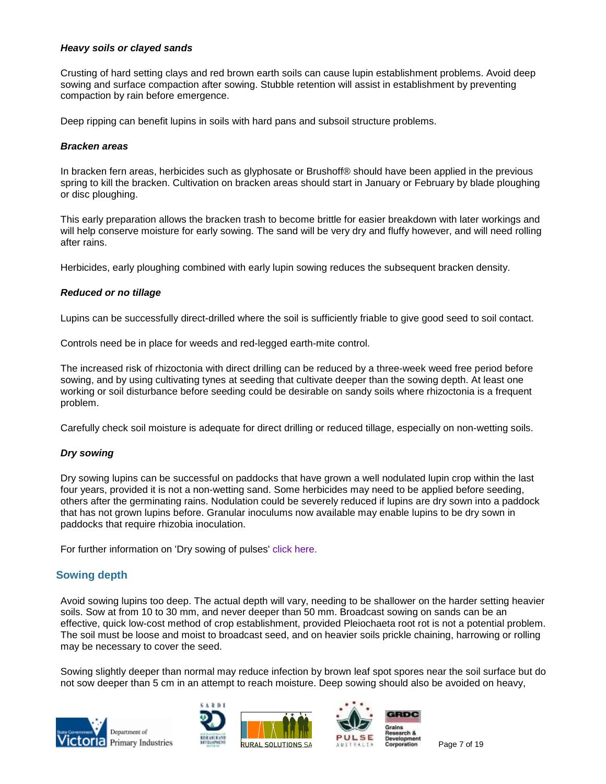#### *Heavy soils or clayed sands*

Crusting of hard setting clays and red brown earth soils can cause lupin establishment problems. Avoid deep sowing and surface compaction after sowing. Stubble retention will assist in establishment by preventing compaction by rain before emergence.

Deep ripping can benefit lupins in soils with hard pans and subsoil structure problems.

#### *Bracken areas*

In bracken fern areas, herbicides such as glyphosate or Brushoff® should have been applied in the previous spring to kill the bracken. Cultivation on bracken areas should start in January or February by blade ploughing or disc ploughing.

This early preparation allows the bracken trash to become brittle for easier breakdown with later workings and will help conserve moisture for early sowing. The sand will be very dry and fluffy however, and will need rolling after rains.

Herbicides, early ploughing combined with early lupin sowing reduces the subsequent bracken density.

## *Reduced or no tillage*

Lupins can be successfully direct-drilled where the soil is sufficiently friable to give good seed to soil contact.

Controls need be in place for weeds and red-legged earth-mite control.

The increased risk of rhizoctonia with direct drilling can be reduced by a three-week weed free period before sowing, and by using cultivating tynes at seeding that cultivate deeper than the sowing depth. At least one working or soil disturbance before seeding could be desirable on sandy soils where rhizoctonia is a frequent problem.

Carefully check soil moisture is adequate for direct drilling or reduced tillage, especially on non-wetting soils.

## *Dry sowing*

Dry sowing lupins can be successful on paddocks that have grown a well nodulated lupin crop within the last four years, provided it is not a non-wetting sand. Some herbicides may need to be applied before seeding, others after the germinating rains. Nodulation could be severely reduced if lupins are dry sown into a paddock that has not grown lupins before. Granular inoculums now available may enable lupins to be dry sown in paddocks that require rhizobia inoculation.

For further information on 'Dry sowing of pulses' [click here.](http://www.pulseaus.com.au/publications/crop_management/332/Dry Sowing of Pulses - Press Release 6.6.05.pdf)

# **Sowing depth**

Avoid sowing lupins too deep. The actual depth will vary, needing to be shallower on the harder setting heavier soils. Sow at from 10 to 30 mm, and never deeper than 50 mm. Broadcast sowing on sands can be an effective, quick low-cost method of crop establishment, provided Pleiochaeta root rot is not a potential problem. The soil must be loose and moist to broadcast seed, and on heavier soils prickle chaining, harrowing or rolling may be necessary to cover the seed.

Sowing slightly deeper than normal may reduce infection by brown leaf spot spores near the soil surface but do not sow deeper than 5 cm in an attempt to reach moisture. Deep sowing should also be avoided on heavy,









Page 7 of 19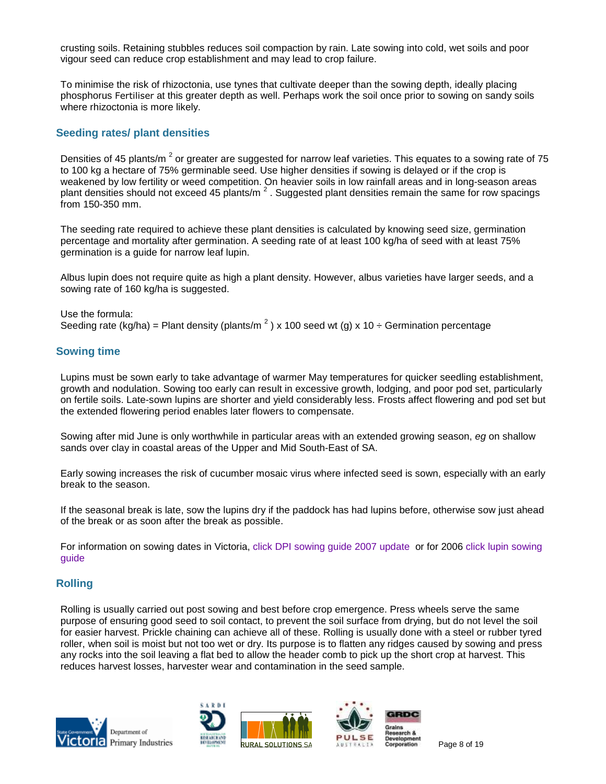crusting soils. Retaining stubbles reduces soil compaction by rain. Late sowing into cold, wet soils and poor vigour seed can reduce crop establishment and may lead to crop failure.

To minimise the risk of rhizoctonia, use tynes that cultivate deeper than the sowing depth, ideally placing phosphorus Fertiliser at this greater depth as well. Perhaps work the soil once prior to sowing on sandy soils where rhizoctonia is more likely.

## **Seeding rates/ plant densities**

Densities of 45 plants/m  $^2$  or greater are suggested for narrow leaf varieties. This equates to a sowing rate of 75 to 100 kg a hectare of 75% germinable seed. Use higher densities if sowing is delayed or if the crop is weakened by low fertility or weed competition. On heavier soils in low rainfall areas and in long-season areas plant densities should not exceed 45 plants/m<sup>2</sup>. Suggested plant densities remain the same for row spacings from 150-350 mm.

The seeding rate required to achieve these plant densities is calculated by knowing seed size, germination percentage and mortality after germination. A seeding rate of at least 100 kg/ha of seed with at least 75% germination is a guide for narrow leaf lupin.

Albus lupin does not require quite as high a plant density. However, albus varieties have larger seeds, and a sowing rate of 160 kg/ha is suggested.

Use the formula: Seeding rate (kg/ha) = Plant density (plants/m<sup>2</sup>) x 100 seed wt (g) x 10 ÷ Germination percentage

# **Sowing time**

Lupins must be sown early to take advantage of warmer May temperatures for quicker seedling establishment, growth and nodulation. Sowing too early can result in excessive growth, lodging, and poor pod set, particularly on fertile soils. Late-sown lupins are shorter and yield considerably less. Frosts affect flowering and pod set but the extended flowering period enables later flowers to compensate.

Sowing after mid June is only worthwhile in particular areas with an extended growing season, *eg* on shallow sands over clay in coastal areas of the Upper and Mid South-East of SA.

Early sowing increases the risk of cucumber mosaic virus where infected seed is sown, especially with an early break to the season.

If the seasonal break is late, sow the lupins dry if the paddock has had lupins before, otherwise sow just ahead of the break or as soon after the break as possible.

For information on sowing dates in Victoria, [click DPI sowing guide 2007 update](http://www.dpi.vic.gov.au/dpi/nrenfa.nsf/93a98744f6ec41bd4a256c8e00013aa9/0675dbb1a8c949ceca2572b20028c702/$FILE/VWCSUpdate07.pdf) or for 2006 [click lupin sowing](http://www.dpi.vic.gov.au/dpi/nrenfa.nsf/93a98744f6ec41bd4a256c8e00013aa9/0675dbb1a8c949ceca2572b20028c702/$FILE/Lupins06.pdf) [guide](http://www.dpi.vic.gov.au/dpi/nrenfa.nsf/93a98744f6ec41bd4a256c8e00013aa9/0675dbb1a8c949ceca2572b20028c702/$FILE/Lupins06.pdf)

# **Rolling**

Rolling is usually carried out post sowing and best before crop emergence. Press wheels serve the same purpose of ensuring good seed to soil contact, to prevent the soil surface from drying, but do not level the soil for easier harvest. Prickle chaining can achieve all of these. Rolling is usually done with a steel or rubber tyred roller, when soil is moist but not too wet or dry. Its purpose is to flatten any ridges caused by sowing and press any rocks into the soil leaving a flat bed to allow the header comb to pick up the short crop at harvest. This reduces harvest losses, harvester wear and contamination in the seed sample.









Page 8 of 19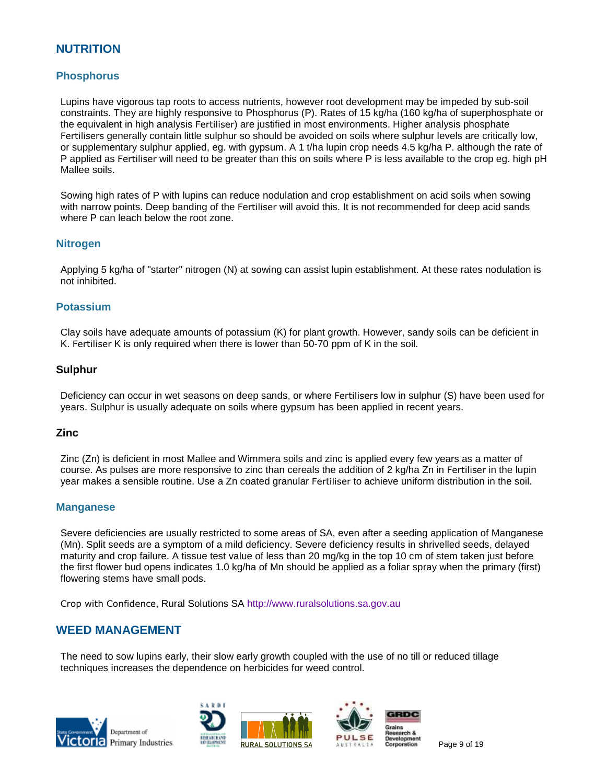# **NUTRITION**

# **Phosphorus**

Lupins have vigorous tap roots to access nutrients, however root development may be impeded by sub-soil constraints. They are highly responsive to Phosphorus (P). Rates of 15 kg/ha (160 kg/ha of superphosphate or the equivalent in high analysis Fertiliser) are justified in most environments. Higher analysis phosphate Fertilisers generally contain little sulphur so should be avoided on soils where sulphur levels are critically low, or supplementary sulphur applied, eg. with gypsum. A 1 t/ha lupin crop needs 4.5 kg/ha P. although the rate of P applied as Fertiliser will need to be greater than this on soils where P is less available to the crop eg. high pH Mallee soils.

Sowing high rates of P with lupins can reduce nodulation and crop establishment on acid soils when sowing with narrow points. Deep banding of the Fertiliser will avoid this. It is not recommended for deep acid sands where P can leach below the root zone.

## **Nitrogen**

Applying 5 kg/ha of "starter" nitrogen (N) at sowing can assist lupin establishment. At these rates nodulation is not inhibited.

#### **Potassium**

Clay soils have adequate amounts of potassium (K) for plant growth. However, sandy soils can be deficient in K. Fertiliser K is only required when there is lower than 50-70 ppm of K in the soil.

## **Sulphur**

Deficiency can occur in wet seasons on deep sands, or where Fertilisers low in sulphur (S) have been used for years. Sulphur is usually adequate on soils where gypsum has been applied in recent years.

#### **Zinc**

Zinc (Zn) is deficient in most Mallee and Wimmera soils and zinc is applied every few years as a matter of course. As pulses are more responsive to zinc than cereals the addition of 2 kg/ha Zn in Fertiliser in the lupin year makes a sensible routine. Use a Zn coated granular Fertiliser to achieve uniform distribution in the soil.

#### **Manganese**

Severe deficiencies are usually restricted to some areas of SA, even after a seeding application of Manganese (Mn). Split seeds are a symptom of a mild deficiency. Severe deficiency results in shrivelled seeds, delayed maturity and crop failure. A tissue test value of less than 20 mg/kg in the top 10 cm of stem taken just before the first flower bud opens indicates 1.0 kg/ha of Mn should be applied as a foliar spray when the primary (first) flowering stems have small pods.

Crop with Confidence, Rural Solutions SA [http://www.ruralsolutions.sa.gov.au](http://www.ruralsolutions.sa.gov.au/)

# **WEED MANAGEMENT**

The need to sow lupins early, their slow early growth coupled with the use of no till or reduced tillage techniques increases the dependence on herbicides for weed control.







Page 9 of 19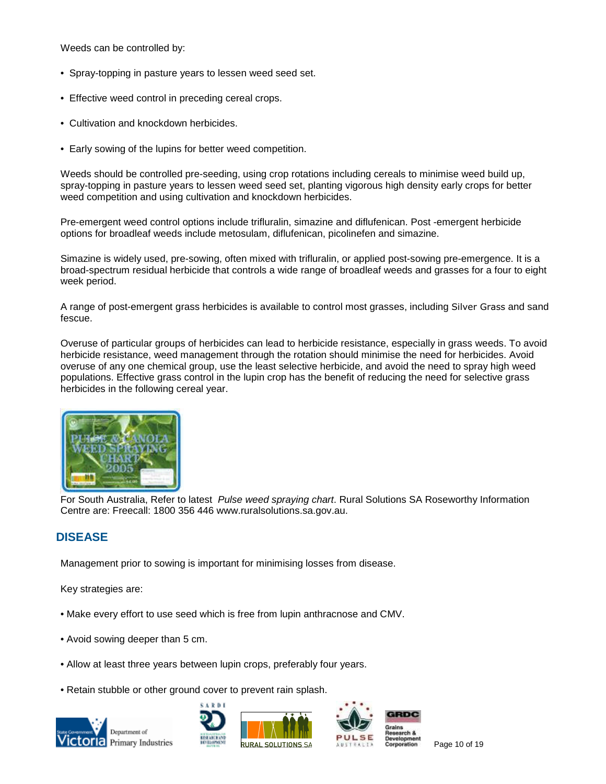Weeds can be controlled by:

- Spray-topping in pasture years to lessen weed seed set.
- Effective weed control in preceding cereal crops.
- Cultivation and knockdown herbicides.
- Early sowing of the lupins for better weed competition.

Weeds should be controlled pre-seeding, using crop rotations including cereals to minimise weed build up, spray-topping in pasture years to lessen weed seed set, planting vigorous high density early crops for better weed competition and using cultivation and knockdown herbicides.

Pre-emergent weed control options include trifluralin, simazine and diflufenican. Post -emergent herbicide options for broadleaf weeds include metosulam, diflufenican, picolinefen and simazine.

Simazine is widely used, pre-sowing, often mixed with trifluralin, or applied post-sowing pre-emergence. It is a broad-spectrum residual herbicide that controls a wide range of broadleaf weeds and grasses for a four to eight week period.

A range of post-emergent grass herbicides is available to control most grasses, including Silver Grass and sand fescue.

Overuse of particular groups of herbicides can lead to herbicide resistance, especially in grass weeds. To avoid herbicide resistance, weed management through the rotation should minimise the need for herbicides. Avoid overuse of any one chemical group, use the least selective herbicide, and avoid the need to spray high weed populations. Effective grass control in the lupin crop has the benefit of reducing the need for selective grass herbicides in the following cereal year.



For South Australia, Refer to latest *Pulse weed spraying chart*. Rural Solutions SA Roseworthy Information Centre are: Freecall: 1800 356 446 www.ruralsolutions.sa.gov.au.

# **DISEASE**

Management prior to sowing is important for minimising losses from disease.

Key strategies are:

- Make every effort to use seed which is free from lupin anthracnose and CMV.
- Avoid sowing deeper than 5 cm.
- Allow at least three years between lupin crops, preferably four years.
- Retain stubble or other ground cover to prevent rain splash.









Page 10 of 19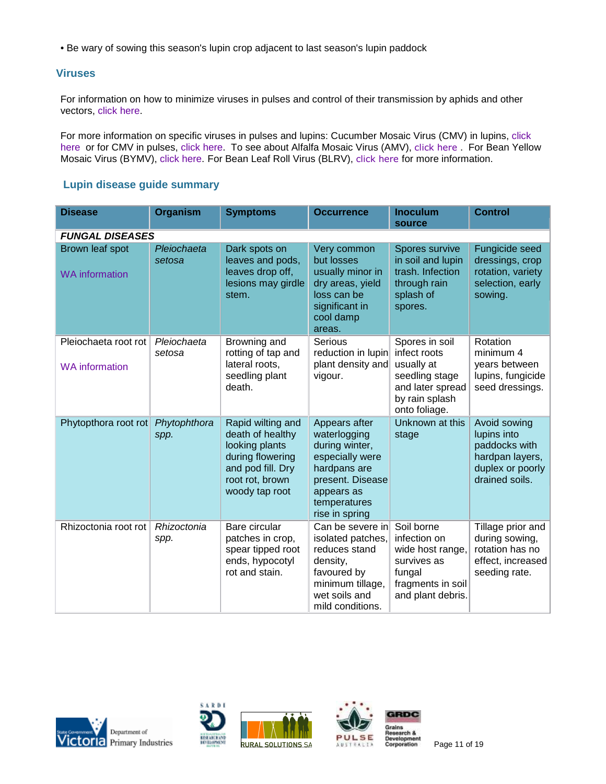• Be wary of sowing this season's lupin crop adjacent to last season's lupin paddock

# **Viruses**

For information on how to minimize viruses in pulses and control of their transmission by aphids and other vectors, [click here.](http://www.pulseaus.com.au/publications/pulse_update_annual/455/Southern Pulse Tech Note Flash - Virus Management.pdf)

For more information on specific viruses in pulses and lupins: Cucumber Mosaic Virus (CMV) in lupins, [click](http://www.dpi.vic.gov.au/dpi/nreninf.nsf/9e58661e880ba9e44a256c640023eb2e/138724c052400364ca256f0f00832858/$FILE/AG0398.pdf) [here](http://www.dpi.vic.gov.au/dpi/nreninf.nsf/9e58661e880ba9e44a256c640023eb2e/138724c052400364ca256f0f00832858/$FILE/AG0398.pdf) or for CMV in pulses, [click here.](http://www.dpi.vic.gov.au/dpi/nreninf.nsf/9e58661e880ba9e44a256c640023eb2e/384a72caea802bfdca25720c0008b5b1/$FILE/AG1207_Aug06.pdf) To see about Alfalfa Mosaic Virus (AMV), [click here](http://www.dpi.vic.gov.au/dpi/nreninf.nsf/9e58661e880ba9e44a256c640023eb2e/21b4a03733f45db0ca256f0b001b9ebc/$FILE/AG1206_Aug06.pdf) . For Bean Yellow Mosaic Virus (BYMV), [click here.](http://www.dpi.vic.gov.au/dpi/nreninf.nsf/9e58661e880ba9e44a256c640023eb2e/63ee9f53372b3a0dca25729f00111bea/$FILE/AG1266_Nov06.pdf) For Bean Leaf Roll Virus (BLRV), [click here](http://www.dpi.vic.gov.au/dpi/nreninf.nsf/9e58661e880ba9e44a256c640023eb2e/21b4a03733f45db0ca256f0b001b9ebc/$FILE/AG1252.pdf) for more information.

# **Lupin disease guide summary**

| <b>Disease</b>                                | <b>Organism</b>       | <b>Symptoms</b>                                                                                                                       | <b>Occurrence</b>                                                                                                                                      | <b>Inoculum</b><br>source                                                                                             | <b>Control</b>                                                                                        |  |  |
|-----------------------------------------------|-----------------------|---------------------------------------------------------------------------------------------------------------------------------------|--------------------------------------------------------------------------------------------------------------------------------------------------------|-----------------------------------------------------------------------------------------------------------------------|-------------------------------------------------------------------------------------------------------|--|--|
| <b>FUNGAL DISEASES</b>                        |                       |                                                                                                                                       |                                                                                                                                                        |                                                                                                                       |                                                                                                       |  |  |
| Brown leaf spot<br><b>WA</b> information      | Pleiochaeta<br>setosa | Dark spots on<br>leaves and pods,<br>leaves drop off,<br>lesions may girdle<br>stem.                                                  | Very common<br>but losses<br>usually minor in<br>dry areas, yield<br>loss can be<br>significant in<br>cool damp<br>areas.                              | Spores survive<br>in soil and lupin<br>trash. Infection<br>through rain<br>splash of<br>spores.                       | <b>Fungicide seed</b><br>dressings, crop<br>rotation, variety<br>selection, early<br>sowing.          |  |  |
| Pleiochaeta root rot<br><b>WA</b> information | Pleiochaeta<br>setosa | Browning and<br>rotting of tap and<br>lateral roots,<br>seedling plant<br>death.                                                      | Serious<br>reduction in lupin<br>plant density and<br>vigour.                                                                                          | Spores in soil<br>infect roots<br>usually at<br>seedling stage<br>and later spread<br>by rain splash<br>onto foliage. | Rotation<br>minimum 4<br>years between<br>lupins, fungicide<br>seed dressings.                        |  |  |
| Phytopthora root rot                          | Phytophthora<br>spp.  | Rapid wilting and<br>death of healthy<br>looking plants<br>during flowering<br>and pod fill. Dry<br>root rot, brown<br>woody tap root | Appears after<br>waterlogging<br>during winter,<br>especially were<br>hardpans are<br>present. Disease<br>appears as<br>temperatures<br>rise in spring | Unknown at this<br>stage                                                                                              | Avoid sowing<br>lupins into<br>paddocks with<br>hardpan layers,<br>duplex or poorly<br>drained soils. |  |  |
| Rhizoctonia root rot                          | Rhizoctonia<br>spp.   | Bare circular<br>patches in crop,<br>spear tipped root<br>ends, hypocotyl<br>rot and stain.                                           | Can be severe in<br>isolated patches,<br>reduces stand<br>density,<br>favoured by<br>minimum tillage,<br>wet soils and<br>mild conditions.             | Soil borne<br>infection on<br>wide host range,<br>survives as<br>fungal<br>fragments in soil<br>and plant debris.     | Tillage prior and<br>during sowing,<br>rotation has no<br>effect, increased<br>seeding rate.          |  |  |







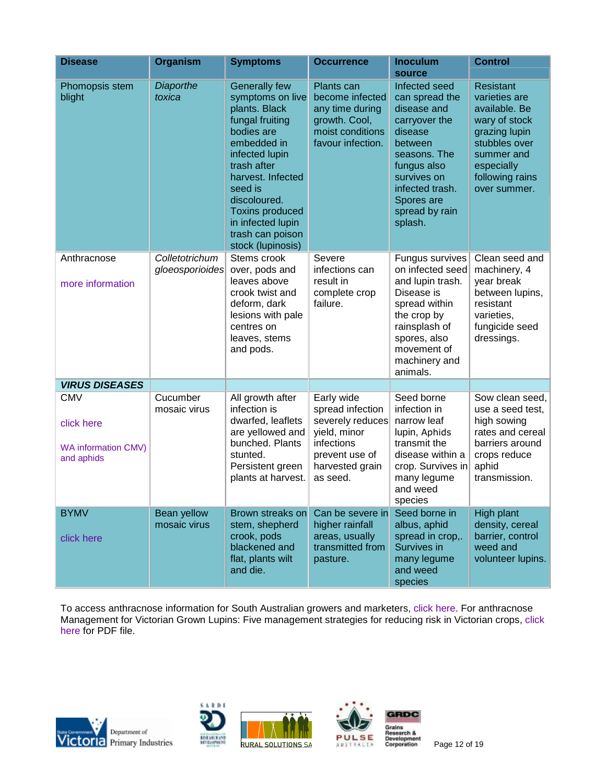| <b>Disease</b>                                                       | <b>Organism</b>                   | <b>Symptoms</b>                                                                                                                                                                                                                                                                                                                                                                                                                                                                                                                                                                                       | <b>Occurrence</b>                                                                                                                 | <b>Inoculum</b><br>source                                                                                                                                                          | <b>Control</b>                                                                                                                                                       |
|----------------------------------------------------------------------|-----------------------------------|-------------------------------------------------------------------------------------------------------------------------------------------------------------------------------------------------------------------------------------------------------------------------------------------------------------------------------------------------------------------------------------------------------------------------------------------------------------------------------------------------------------------------------------------------------------------------------------------------------|-----------------------------------------------------------------------------------------------------------------------------------|------------------------------------------------------------------------------------------------------------------------------------------------------------------------------------|----------------------------------------------------------------------------------------------------------------------------------------------------------------------|
| Phomopsis stem<br>blight                                             | Diaporthe<br>toxica               | <b>Generally few</b><br>Plants can<br>Infected seed<br>symptoms on live<br>become infected<br>can spread the<br>plants. Black<br>disease and<br>any time during<br>fungal fruiting<br>growth. Cool,<br>carryover the<br>bodies are<br>moist conditions<br>disease<br>embedded in<br>favour infection.<br>between<br>infected lupin<br>seasons. The<br>trash after<br>fungus also<br>harvest. Infected<br>survives on<br>seed is<br>infected trash.<br>discoloured.<br>Spores are<br><b>Toxins produced</b><br>spread by rain<br>in infected lupin<br>splash.<br>trash can poison<br>stock (lupinosis) |                                                                                                                                   |                                                                                                                                                                                    | <b>Resistant</b><br>varieties are<br>available. Be<br>wary of stock<br>grazing lupin<br>stubbles over<br>summer and<br>especially<br>following rains<br>over summer. |
| Anthracnose<br>more information                                      | Colletotrichum<br>gloeosporioides | Stems crook<br>over, pods and<br>leaves above<br>crook twist and<br>deform, dark<br>lesions with pale<br>centres on<br>leaves, stems<br>and pods.                                                                                                                                                                                                                                                                                                                                                                                                                                                     | Severe<br>infections can<br>result in<br>complete crop<br>failure.                                                                | Fungus survives<br>on infected seed<br>and lupin trash.<br>Disease is<br>spread within<br>the crop by<br>rainsplash of<br>spores, also<br>movement of<br>machinery and<br>animals. | Clean seed and<br>machinery, 4<br>year break<br>between lupins,<br>resistant<br>varieties,<br>fungicide seed<br>dressings.                                           |
| <b>VIRUS DISEASES</b>                                                |                                   |                                                                                                                                                                                                                                                                                                                                                                                                                                                                                                                                                                                                       |                                                                                                                                   |                                                                                                                                                                                    |                                                                                                                                                                      |
| <b>CMV</b><br>click here<br><b>WA information CMV)</b><br>and aphids | Cucumber<br>mosaic virus          | All growth after<br>infection is<br>dwarfed, leaflets<br>are yellowed and<br>bunched. Plants<br>stunted.<br>Persistent green<br>plants at harvest.                                                                                                                                                                                                                                                                                                                                                                                                                                                    | Early wide<br>spread infection<br>severely reduces<br>yield, minor<br>infections<br>prevent use of<br>harvested grain<br>as seed. | Seed borne<br>infection in<br>narrow leaf<br>lupin, Aphids<br>transmit the<br>disease within a<br>crop. Survives in<br>many legume<br>and weed<br>species                          | Sow clean seed,<br>use a seed test,<br>high sowing<br>rates and cereal<br>barriers around<br>crops reduce<br>aphid<br>transmission.                                  |
| <b>BYMV</b><br>click here                                            | Bean yellow<br>mosaic virus       | Brown streaks on<br>stem, shepherd<br>crook, pods<br>blackened and<br>flat, plants wilt<br>and die.                                                                                                                                                                                                                                                                                                                                                                                                                                                                                                   | Can be severe in<br>higher rainfall<br>areas, usually<br>transmitted from<br>pasture.                                             | Seed borne in<br>albus, aphid<br>spread in crop,.<br>Survives in<br>many legume<br>and weed<br>species                                                                             | High plant<br>density, cereal<br>barrier, control<br>weed and<br>volunteer lupins.                                                                                   |

To access anthracnose information for South Australian growers and marketers, [click here.](http://www.pir.sa.gov.au/pages/agriculture/field_crops/tech_inform/lupins/grow_lupins.htm:sectID=1859&tempID=1) For anthracnose Management for Victorian Grown Lupins: Five management strategies for reducing risk in Victorian crops, [click](http://www.pulseaus.com.au/crops/lupins/79/Anthracnose_management_in_Vic_lupins.pdf) [here](http://www.pulseaus.com.au/crops/lupins/79/Anthracnose_management_in_Vic_lupins.pdf) for PDF file.







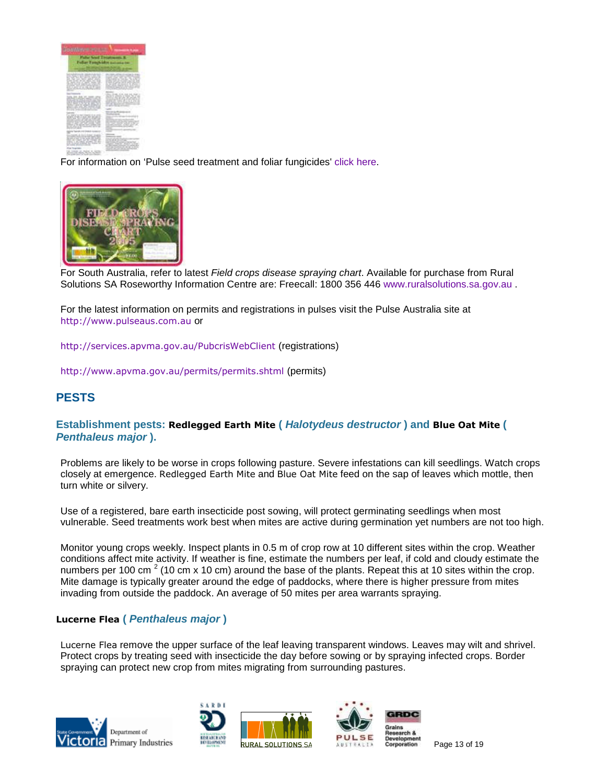| battery                                                                                                                                                                                                                                                                                                                                  | <b>The Company's Company</b>                                                                                                                                                                                                                                                                             |
|------------------------------------------------------------------------------------------------------------------------------------------------------------------------------------------------------------------------------------------------------------------------------------------------------------------------------------------|----------------------------------------------------------------------------------------------------------------------------------------------------------------------------------------------------------------------------------------------------------------------------------------------------------|
| _____<br>Cable - Franklin - In this - Milledge - In additional - In the<br><b>STATISTICS</b><br>W. Lod., W. Jr., Mint, M. Lod., I.<br>dark and at sects, more call -<br><b>FOR FUELER ASSESSED.</b><br><b>START CANADIES</b>                                                                                                             | to a construction of the first and<br><b>DTL 2000 RFL W</b><br>×<br>accompany of the Party West<br>the battled from 1 had at 40<br>the first and controls with the ability is absolute<br>a lan sinde sale provincia da alfantas<br>and and the company of the first of<br>come of them the price of the |
| <b>SALES OF SHIP</b><br>to the distribution company models. In-<br>an constitution of the constitution of<br>72.<br>13977<br>٠<br>-<br>w<br>--                                                                                                                                                                                           | 186. IL M. 204. 24<br>as in the growing of theme.<br><b>SETV</b><br>better that article the priced<br><b>SERVICE STATES</b><br>---<br>and the company's a<br>--                                                                                                                                          |
| as condition accounts<br><b>Greins</b><br>-------<br>State of the second time, and<br>the sale property the commit-                                                                                                                                                                                                                      | _<br>$\sim$<br>__<br>--<br>---<br>-<br>--<br>--                                                                                                                                                                                                                                                          |
| $\sim$<br>Associated and a company of the second<br>the product of the control of the product of the product<br>by and of their to the mode of the students<br>and we closed the far integrity we -<br>and an exact select the de-<br><b>NAME OF BRIDE</b><br>. .<br>an said of<br><b>Way Yoursell</b><br>that there are maded to secret | on the state that the property<br>the control of the control of the con-<br>company searcher strategy in these<br>Children County County of a<br>the age from the R. St. as at 10 P. St.<br>through the control of the con-<br>and the control of the control of the                                     |

For information on 'Pulse seed treatment and foliar fungicides' [click here.](http://www.pulseaus.com.au/crops/faba_beans/394/Pulse seed and foliar fungicide treatments May 2006.pdf)



For South Australia, refer to latest *Field crops disease spraying chart*. Available for purchase from Rural Solutions SA Roseworthy Information Centre are: Freecall: 1800 356 446 [www.ruralsolutions.sa.gov.au](http://www.ruralsolutions.sa.gov.au/) .

For the latest information on permits and registrations in pulses visit the Pulse Australia site at [http://www.pulseaus.com.au](http://www.pulseaus.com.au/) or

<http://services.apvma.gov.au/PubcrisWebClient> (registrations)

<http://www.apvma.gov.au/permits/permits.shtml> (permits)

# **PESTS**

# **Establishment pests: Redlegged Earth Mite (** *Halotydeus destructor* **) and Blue Oat Mite (** *Penthaleus major* **).**

Problems are likely to be worse in crops following pasture. Severe infestations can kill seedlings. Watch crops closely at emergence. Redlegged Earth Mite and Blue Oat Mite feed on the sap of leaves which mottle, then turn white or silvery.

Use of a registered, bare earth insecticide post sowing, will protect germinating seedlings when most vulnerable. Seed treatments work best when mites are active during germination yet numbers are not too high.

Monitor young crops weekly. Inspect plants in 0.5 m of crop row at 10 different sites within the crop. Weather conditions affect mite activity. If weather is fine, estimate the numbers per leaf, if cold and cloudy estimate the numbers per 100 cm  $2$  (10 cm x 10 cm) around the base of the plants. Repeat this at 10 sites within the crop. Mite damage is typically greater around the edge of paddocks, where there is higher pressure from mites invading from outside the paddock. An average of 50 mites per area warrants spraying.

## **Lucerne Flea (** *Penthaleus major* **)**

Lucerne Flea remove the upper surface of the leaf leaving transparent windows. Leaves may wilt and shrivel. Protect crops by treating seed with insecticide the day before sowing or by spraying infected crops. Border spraying can protect new crop from mites migrating from surrounding pastures.







Page 13 of 19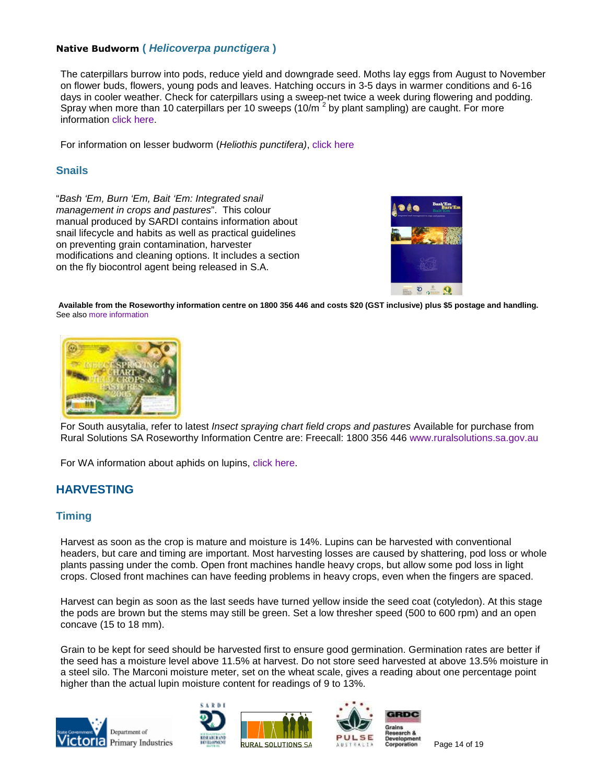# **Native Budworm (** *Helicoverpa punctigera* **)**

The caterpillars burrow into pods, reduce yield and downgrade seed. Moths lay eggs from August to November on flower buds, flowers, young pods and leaves. Hatching occurs in 3-5 days in warmer conditions and 6-16 days in cooler weather. Check for caterpillars using a sweep-net twice a week during flowering and podding. Spray when more than 10 caterpillars per 10 sweeps (10/m<sup>2</sup> by plant sampling) are caught. For more information [click here.](http://www.dpi.vic.gov.au/dpi/nreninf.nsf/9e58661e880ba9e44a256c640023eb2e/2e595abbd6a378a7ca256f0e0023f6b0/$FILE/AG0417.pdf)

For information on lesser budworm (*Heliothis punctifera)*, [click here](http://www.sardi.sa.gov.au/pages/ento/pasture_crop_pests/budworm.htm:sectID=211&tempID=1)

# **Snails**

"*Bash 'Em, Burn 'Em, Bait 'Em: Integrated snail management in crops and pastures*". This colour manual produced by SARDI contains information about snail lifecycle and habits as well as practical guidelines on preventing grain contamination, harvester modifications and cleaning options. It includes a section on the fly biocontrol agent being released in S.A.



**Available from the Roseworthy information centre on 1800 356 446 and costs \$20 (GST inclusive) plus \$5 postage and handling.** See also [more information](http://www.sardi.sa.gov.au/pages/ento/pasture_crop_pests/broad_snail.htm:sectID=211&tempID=1#Snail%20Manual)



For South ausytalia, refer to latest *Insect spraying chart field crops and pastures* Available for purchase from Rural Solutions SA Roseworthy Information Centre are: Freecall: 1800 356 446 [www.ruralsolutions.sa.gov.au](http://www.ruralsolutions.sa.gov.au/)

For WA information about aphids on lupins, [click here.](http://www.agric.wa.gov.au/pls/portal30/docs/FOLDER/IKMP/PW/INS/PP/GC/F04499.PDF)

# **HARVESTING**

## **Timing**

Harvest as soon as the crop is mature and moisture is 14%. Lupins can be harvested with conventional headers, but care and timing are important. Most harvesting losses are caused by shattering, pod loss or whole plants passing under the comb. Open front machines handle heavy crops, but allow some pod loss in light crops. Closed front machines can have feeding problems in heavy crops, even when the fingers are spaced.

Harvest can begin as soon as the last seeds have turned yellow inside the seed coat (cotyledon). At this stage the pods are brown but the stems may still be green. Set a low thresher speed (500 to 600 rpm) and an open concave (15 to 18 mm).

Grain to be kept for seed should be harvested first to ensure good germination. Germination rates are better if the seed has a moisture level above 11.5% at harvest. Do not store seed harvested at above 13.5% moisture in a steel silo. The Marconi moisture meter, set on the wheat scale, gives a reading about one percentage point higher than the actual lupin moisture content for readings of 9 to 13%.









Page 14 of 19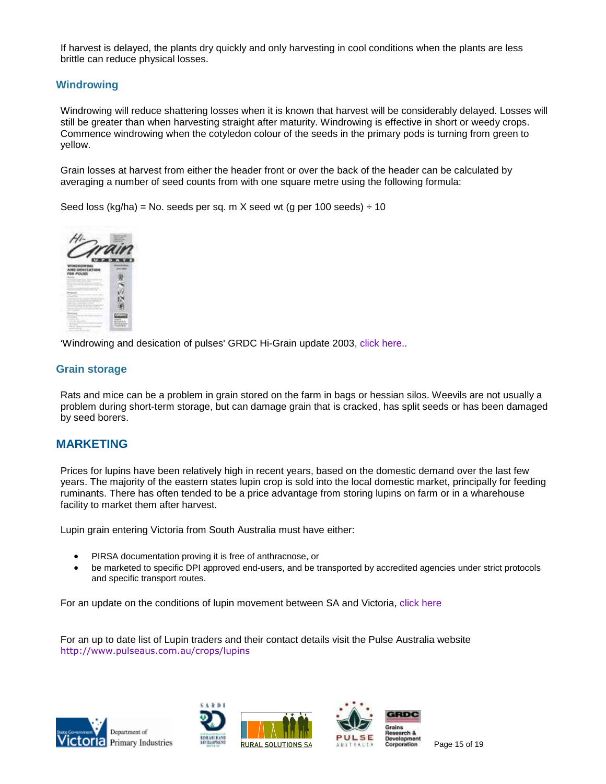If harvest is delayed, the plants dry quickly and only harvesting in cool conditions when the plants are less brittle can reduce physical losses.

## **Windrowing**

Windrowing will reduce shattering losses when it is known that harvest will be considerably delayed. Losses will still be greater than when harvesting straight after maturity. Windrowing is effective in short or weedy crops. Commence windrowing when the cotyledon colour of the seeds in the primary pods is turning from green to yellow.

Grain losses at harvest from either the header front or over the back of the header can be calculated by averaging a number of seed counts from with one square metre using the following formula:

Seed loss (kg/ha) = No. seeds per sq. m X seed wt (g per 100 seeds)  $\div$  10



'Windrowing and desication of pulses' GRDC Hi-Grain update 2003, click here..

## **Grain storage**

Rats and mice can be a problem in grain stored on the farm in bags or hessian silos. Weevils are not usually a problem during short-term storage, but can damage grain that is cracked, has split seeds or has been damaged by seed borers.

## **MARKETING**

Prices for lupins have been relatively high in recent years, based on the domestic demand over the last few years. The majority of the eastern states lupin crop is sold into the local domestic market, principally for feeding ruminants. There has often tended to be a price advantage from storing lupins on farm or in a wharehouse facility to market them after harvest.

Lupin grain entering Victoria from South Australia must have either:

- PIRSA documentation proving it is free of anthracnose, or
- be marketed to specific DPI approved end-users, and be transported by accredited agencies under strict protocols and specific transport routes.

For an update on the conditions of lupin movement between SA and Victoria, [click here](http://www.pir.sa.gov.au/byteserve/agriculture/field_crops/tech_inform/lupins/cond_lupins.pdf)

For an up to date list of Lupin traders and their contact details visit the Pulse Australia website <http://www.pulseaus.com.au/crops/lupins>







Page 15 of 19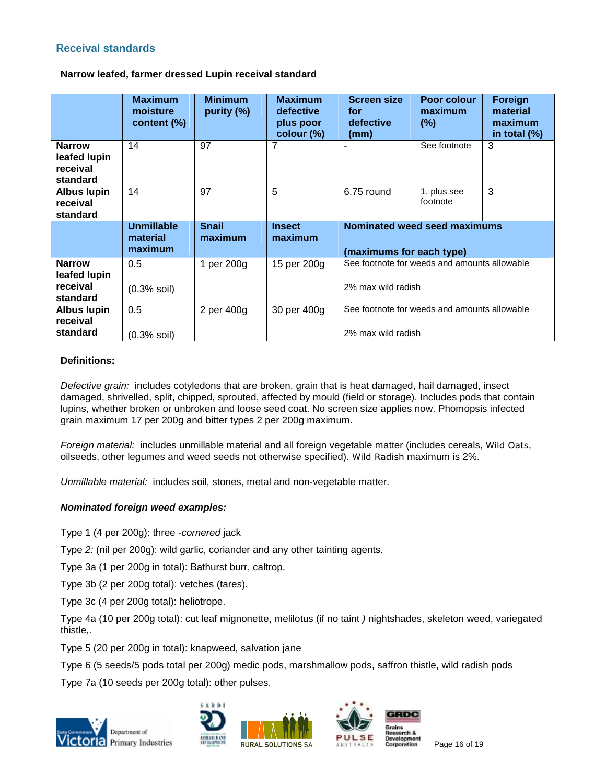# **Receival standards**

## **Narrow leafed, farmer dressed Lupin receival standard**

|                                                       | <b>Maximum</b><br>moisture<br>content (%) | <b>Minimum</b><br>purity (%) | <b>Maximum</b><br>defective<br>plus poor<br>colour (%) | <b>Screen size</b><br>for<br>defective<br>(mm)                     | Poor colour<br>maximum<br>$(\%)$ | Foreign<br>material<br>maximum<br>in total $(\%)$ |
|-------------------------------------------------------|-------------------------------------------|------------------------------|--------------------------------------------------------|--------------------------------------------------------------------|----------------------------------|---------------------------------------------------|
| <b>Narrow</b><br>leafed lupin<br>receival<br>standard | 14                                        | 97                           | 7                                                      |                                                                    | See footnote                     | 3                                                 |
| <b>Albus lupin</b><br>receival<br>standard            | 14                                        | 97                           | 5                                                      | 6.75 round                                                         | 1, plus see<br>footnote          | 3                                                 |
|                                                       | <b>Unmillable</b><br>material<br>maximum  | <b>Snail</b><br>maximum      | <b>Insect</b><br>maximum                               | Nominated weed seed maximums<br>(maximums for each type)           |                                  |                                                   |
| <b>Narrow</b><br>leafed lupin                         | 0.5                                       | 1 per 200g                   | 15 per 200g                                            | See footnote for weeds and amounts allowable<br>2% max wild radish |                                  |                                                   |
| receival<br>standard                                  | $(0.3%$ soil)                             |                              |                                                        |                                                                    |                                  |                                                   |

## **Definitions:**

*Defective grain:* includes cotyledons that are broken, grain that is heat damaged, hail damaged, insect damaged, shrivelled, split, chipped, sprouted, affected by mould (field or storage). Includes pods that contain lupins, whether broken or unbroken and loose seed coat. No screen size applies now. Phomopsis infected grain maximum 17 per 200g and bitter types 2 per 200g maximum.

*Foreign material:* includes unmillable material and all foreign vegetable matter (includes cereals, Wild Oats, oilseeds, other legumes and weed seeds not otherwise specified). Wild Radish maximum is 2%.

*Unmillable material:* includes soil, stones, metal and non-vegetable matter.

## *Nominated foreign weed examples:*

Type 1 (4 per 200g): three *-cornered* jack

Type *2:* (nil per 200g): wild garlic, coriander and any other tainting agents.

Type 3a (1 per 200g in total): Bathurst burr, caltrop.

Type 3b (2 per 200g total): vetches (tares).

Type 3c (4 per 200g total): heliotrope.

Type 4a (10 per 200g total): cut leaf mignonette, melilotus (if no taint *)* nightshades, skeleton weed, variegated thistle*,*.

Type 5 (20 per 200g in total): knapweed, salvation jane

Type 6 (5 seeds/5 pods total per 200g) medic pods, marshmallow pods, saffron thistle, wild radish pods

Type 7a (10 seeds per 200g total): other pulses.







Page 16 of 19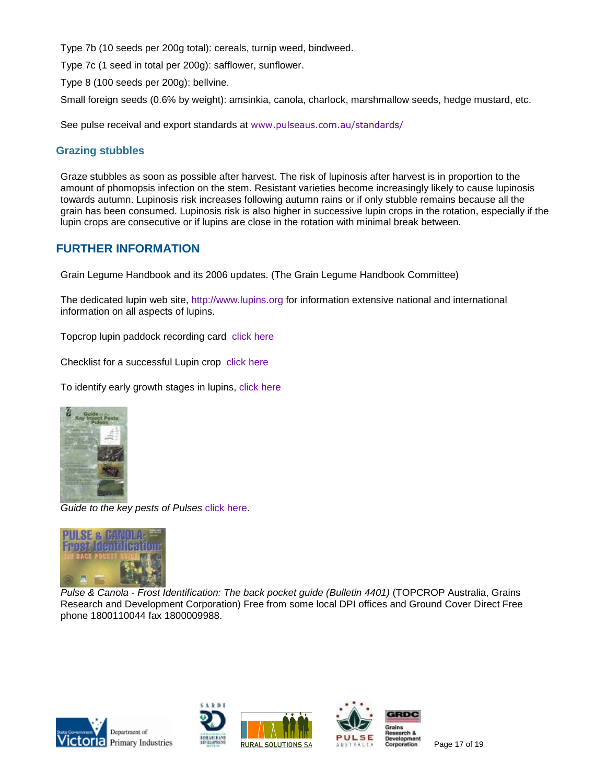Type 7b (10 seeds per 200g total): cereals, turnip weed, bindweed.

Type 7c (1 seed in total per 200g): safflower, sunflower.

Type 8 (100 seeds per 200g): bellvine.

Small foreign seeds (0.6% by weight): amsinkia, canola, charlock, marshmallow seeds, hedge mustard, etc.

See pulse receival and export standards at [www.pulseaus.com.au/standards/](http://www.pulseaus.com.au/standards/)

# **Grazing stubbles**

Graze stubbles as soon as possible after harvest. The risk of lupinosis after harvest is in proportion to the amount of phomopsis infection on the stem. Resistant varieties become increasingly likely to cause lupinosis towards autumn. Lupinosis risk increases following autumn rains or if only stubble remains because all the grain has been consumed. Lupinosis risk is also higher in successive lupin crops in the rotation, especially if the lupin crops are consecutive or if lupins are close in the rotation with minimal break between.

# **FURTHER INFORMATION**

Grain Legume Handbook and its 2006 updates. (The Grain Legume Handbook Committee)

The dedicated lupin web site, [http://www.lupins.org](http://www.lupins.org/) for information extensive national and international information on all aspects of lupins.

Topcrop lupin paddock recording card [click here](http://topcrop.grdc.com.au/statesites/vic/pubs/pdfs/card_lupins.pdf)

Checklist for a successful Lupin crop [click here](http://topcrop.grdc.com.au/statesites/vic/pubs/pdfs/lupins_check.pdf)

To identify early growth stages in lupins, [click here](http://topcrop.grdc.com.au/statesites/vic/pubs/pdfs/growth.pdf)



*Guide to the key pests of Pulses* [click here.](http://topcrop.grdc.com.au/statesites/vic/pubs/pdfs/insects_pulses.pdf)



*Pulse & Canola - Frost Identification: The back pocket guide (Bulletin 4401)* (TOPCROP Australia, Grains Research and Development Corporation) Free from some local DPI offices and Ground Cover Direct Free phone 1800110044 fax 1800009988.







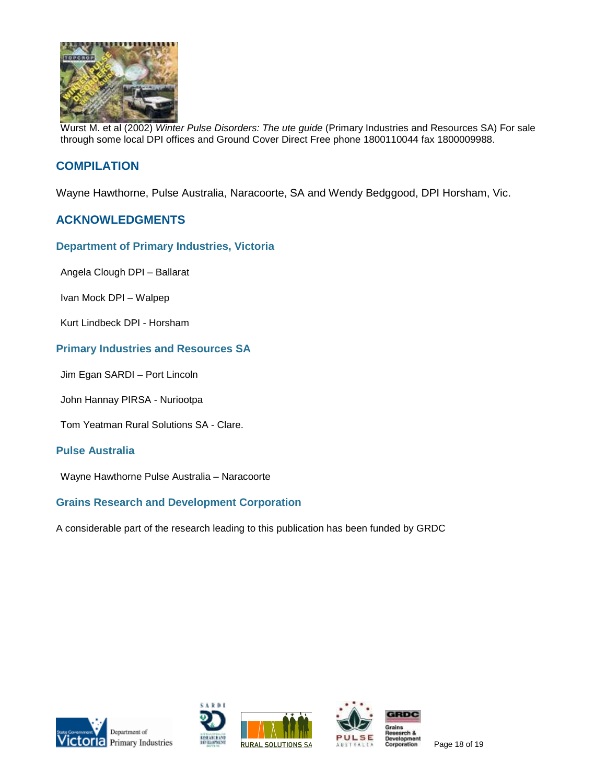

Wurst M. et al (2002) *Winter Pulse Disorders: The ute guide* (Primary Industries and Resources SA) For sale through some local DPI offices and Ground Cover Direct Free phone 1800110044 fax 1800009988.

# **COMPILATION**

Wayne Hawthorne, Pulse Australia, Naracoorte, SA and Wendy Bedggood, DPI Horsham, Vic.

# **ACKNOWLEDGMENTS**

#### **Department of Primary Industries, Victoria**

Angela Clough DPI – Ballarat

Ivan Mock DPI – Walpep

Kurt Lindbeck DPI - Horsham

# **Primary Industries and Resources SA**

Jim Egan SARDI – Port Lincoln

John Hannay PIRSA - Nuriootpa

Tom Yeatman Rural Solutions SA - Clare.

#### **Pulse Australia**

Wayne Hawthorne Pulse Australia – Naracoorte

## **Grains Research and Development Corporation**

A considerable part of the research leading to this publication has been funded by GRDC









Page 18 of 19